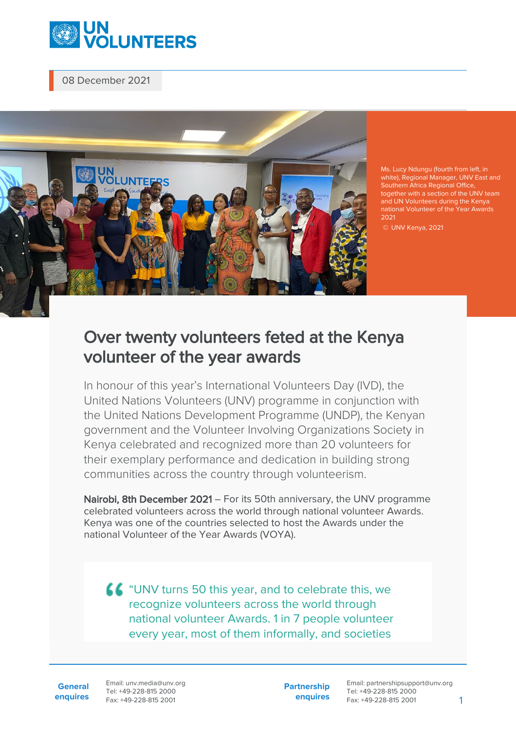

08 December 2021



Ms. Lucy Ndungu (fourth from left, in white), Regional Manager, UNV East and Southern Africa Regional Office together with a section of the UNV team and UN Volunteers during the Kenya national Volunteer of the Year Awards 2021

## Over twenty volunteers feted at the Kenya volunteer of the year awards

In honour of this year's International Volunteers Day (IVD), the United Nations Volunteers (UNV) programme in conjunction with the United Nations Development Programme (UNDP), the Kenyan government and the Volunteer Involving Organizations Society in Kenya celebrated and recognized more than 20 volunteers for their exemplary performance and dedication in building strong communities across the country through volunteerism.

Nairobi, 8th December 2021 – For its 50th anniversary, the UNV programme celebrated volunteers across the world through national volunteer Awards. Kenya was one of the countries selected to host the Awards under the national Volunteer of the Year Awards (VOYA).

LC "UNV turns 50 this year, and to celebrate this, we recognize volunteers across the world through national volunteer Awards. 1 in 7 people volunteer every year, most of them informally, and societies

**General enquires** Email: unv.media@unv.org Tel: +49-228-815 2000 Fax: +49-228-815 2001

**Partnership enquires** Email: partnershipsupport@unv.org Tel: +49-228-815 2000 Fax: +49-228-815 2001 1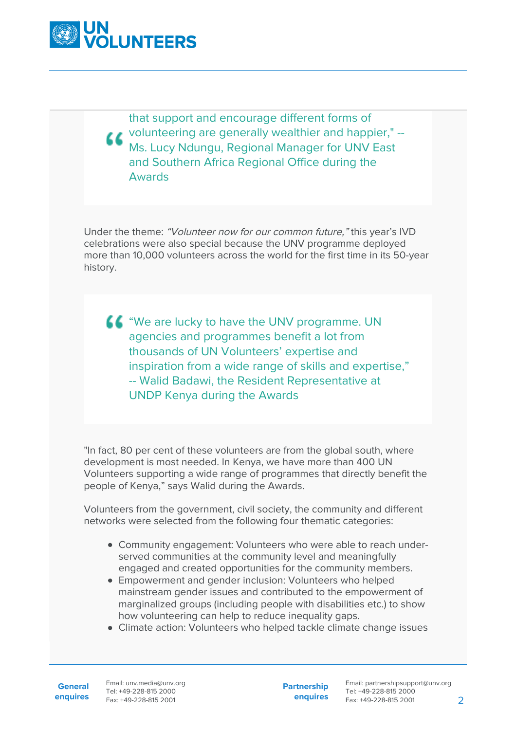

that support and encourage different forms of volunteering are generally wealthier and happier," -- Ms. Lucy Ndungu, Regional Manager for UNV East and Southern Africa Regional Office during the Awards

Under the theme: "Volunteer now for our common future," this year's IVD celebrations were also special because the UNV programme deployed more than 10,000 volunteers across the world for the first time in its 50-year history.

**66** "We are lucky to have the UNV programme. UN agencies and programmes benefit a lot from thousands of UN Volunteers' expertise and inspiration from a wide range of skills and expertise," -- Walid Badawi, the Resident Representative at UNDP Kenya during the Awards

"In fact, 80 per cent of these volunteers are from the global south, where development is most needed. In Kenya, we have more than 400 UN Volunteers supporting a wide range of programmes that directly benefit the people of Kenya," says Walid during the Awards.

Volunteers from the government, civil society, the community and different networks were selected from the following four thematic categories:

- Community engagement: Volunteers who were able to reach underserved communities at the community level and meaningfully engaged and created opportunities for the community members.
- Empowerment and gender inclusion: Volunteers who helped mainstream gender issues and contributed to the empowerment of marginalized groups (including people with disabilities etc.) to show how volunteering can help to reduce inequality gaps.
- Climate action: Volunteers who helped tackle climate change issues

**General**

**Partnership enquires**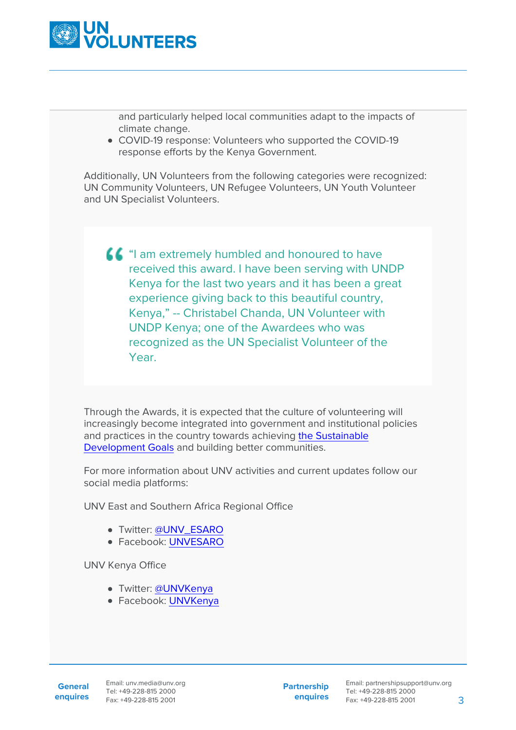

and particularly helped local communities adapt to the impacts of climate change.

COVID-19 response: Volunteers who supported the COVID-19 response efforts by the Kenya Government.

Additionally, UN Volunteers from the following categories were recognized: UN Community Volunteers, UN Refugee Volunteers, UN Youth Volunteer and UN Specialist Volunteers.

 $\triangle$  "I am extremely humbled and honoured to have received this award. I have been serving with UNDP Kenya for the last two years and it has been a great experience giving back to this beautiful country, Kenya," -- Christabel Chanda, UN Volunteer with UNDP Kenya; one of the Awardees who was recognized as the UN Specialist Volunteer of the Year.

Through the Awards, it is expected that the culture of volunteering will increasingly become integrated into government and institutional policies and practices in the country towards achieving [the Sustainable](https://sdgs.un.org/goals) [Development Goals](https://sdgs.un.org/goals) and building better communities.

For more information about UNV activities and current updates follow our social media platforms:

UNV East and Southern Africa Regional Office

- Twitter: [@UNV\\_ESARO](https://www.unv.org/www.twitter.com/unv_esaro)
- Facebook: [UNVESARO](https://www.unv.org/www.facebook.com/unvesaro)

UNV Kenya Office

- Twitter: [@UNVKenya](https://www.unv.org/www.twitter.com/unvkenya)
- Facebook: [UNVKenya](https://www.unv.org/www.facebook.com/unvkenya)